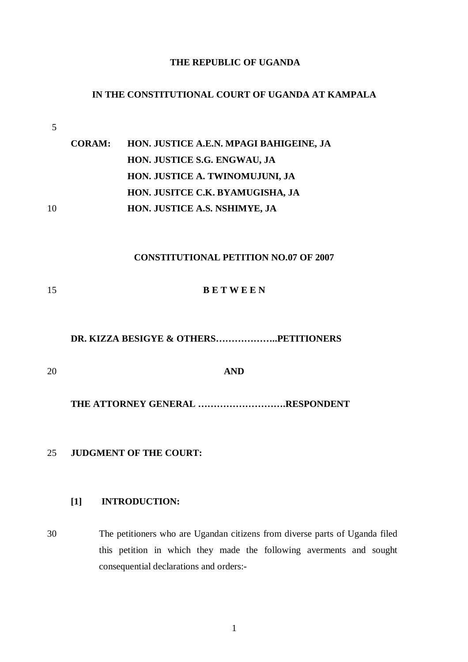## **THE REPUBLIC OF UGANDA**

## **IN THE CONSTITUTIONAL COURT OF UGANDA AT KAMPALA**

|    | <b>CORAM:</b> | HON. JUSTICE A.E.N. MPAGI BAHIGEINE, JA |
|----|---------------|-----------------------------------------|
|    |               | HON. JUSTICE S.G. ENGWAU, JA            |
|    |               | HON. JUSTICE A. TWINOMUJUNI, JA         |
|    |               | HON. JUSITCE C.K. BYAMUGISHA, JA        |
| 10 |               | HON. JUSTICE A.S. NSHIMYE, JA           |

## **CONSTITUTIONAL PETITION NO.07 OF 2007**

| 15 | <b>BETWEEN</b> |
|----|----------------|
|    |                |

**DR. KIZZA BESIGYE & OTHERS………………..PETITIONERS**

20 **AND**

**THE ATTORNEY GENERAL ……………………….RESPONDENT**

## 25 **JUDGMENT OF THE COURT:**

### **[1] INTRODUCTION:**

30 The petitioners who are Ugandan citizens from diverse parts of Uganda filed this petition in which they made the following averments and sought consequential declarations and orders:-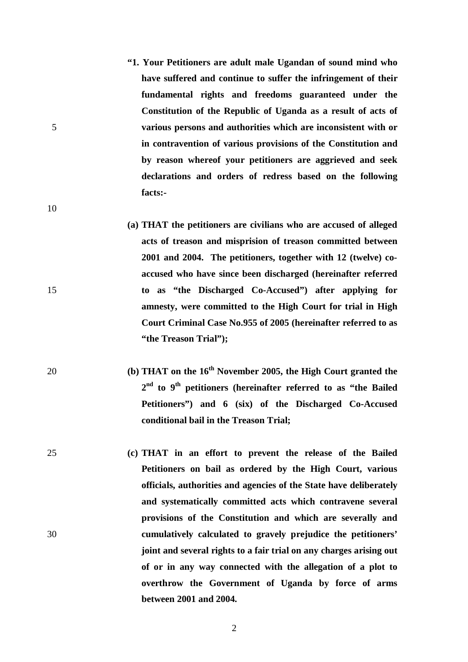- **"1. Your Petitioners are adult male Ugandan of sound mind who have suffered and continue to suffer the infringement of their fundamental rights and freedoms guaranteed under the Constitution of the Republic of Uganda as a result of acts of**  5 **various persons and authorities which are inconsistent with or in contravention of various provisions of the Constitution and by reason whereof your petitioners are aggrieved and seek declarations and orders of redress based on the following facts:-**
- **(a) THAT the petitioners are civilians who are accused of alleged acts of treason and misprision of treason committed between 2001 and 2004. The petitioners, together with 12 (twelve) coaccused who have since been discharged (hereinafter referred**  15 **to as "the Discharged Co-Accused") after applying for amnesty, were committed to the High Court for trial in High Court Criminal Case No.955 of 2005 (hereinafter referred to as "the Treason Trial");**
- **(b) THAT on the 16th** 20 **November 2005, the High Court granted the 2 nd to 9th petitioners (hereinafter referred to as "the Bailed Petitioners") and 6 (six) of the Discharged Co-Accused conditional bail in the Treason Trial;**

10

25 **(c) THAT in an effort to prevent the release of the Bailed Petitioners on bail as ordered by the High Court, various officials, authorities and agencies of the State have deliberately and systematically committed acts which contravene several provisions of the Constitution and which are severally and**  30 **cumulatively calculated to gravely prejudice the petitioners' joint and several rights to a fair trial on any charges arising out of or in any way connected with the allegation of a plot to overthrow the Government of Uganda by force of arms between 2001 and 2004.**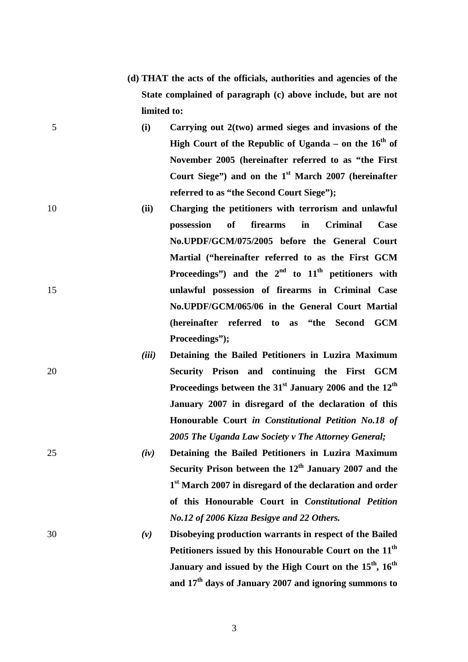- **(d) THAT the acts of the officials, authorities and agencies of the State complained of paragraph (c) above include, but are not limited to:**
- 5 **(i) Carrying out 2(two) armed sieges and invasions of the High Court of the Republic of Uganda – on the 16th of November 2005 (hereinafter referred to as "the First Court Siege") and on the 1st March 2007 (hereinafter referred to as "the Second Court Siege");**
- 10 **(ii) Charging the petitioners with terrorism and unlawful possession of firearms in Criminal Case No.UPDF/GCM/075/2005 before the General Court Martial ("hereinafter referred to as the First GCM Proceedings") and the 2nd to 11th petitioners with**  15 **unlawful possession of firearms in Criminal Case No.UPDF/GCM/065/06 in the General Court Martial (hereinafter referred to as "the Second GCM Proceedings");**
- *(iii)* **Detaining the Bailed Petitioners in Luzira Maximum**  20 **Security Prison and continuing the First GCM Proceedings between the 31st January 2006 and the 12th January 2007 in disregard of the declaration of this Honourable Court** *in Constitutional Petition No.18 of 2005 The Uganda Law Society v The Attorney General;*
- 25 *(iv)* **Detaining the Bailed Petitioners in Luzira Maximum Security Prison between the 12th January 2007 and the 1 st March 2007 in disregard of the declaration and order of this Honourable Court in** *Constitutional Petition No.12 of 2006 Kizza Besigye and 22 Others.*
- 30 *(v)* **Disobeying production warrants in respect of the Bailed Petitioners issued by this Honourable Court on the 11th January and issued by the High Court on the 15th, 16th and 17th days of January 2007 and ignoring summons to**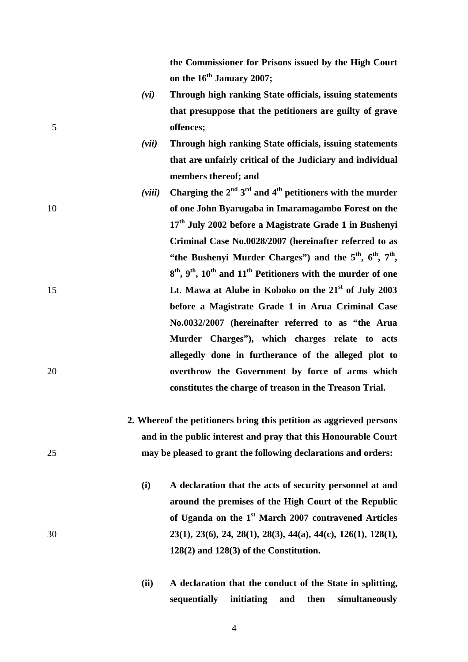**the Commissioner for Prisons issued by the High Court on the 16th January 2007;**

- *(vi)* **Through high ranking State officials, issuing statements that presuppose that the petitioners are guilty of grave**  5 **offences;**
	- *(vii)* **Through high ranking State officials, issuing statements that are unfairly critical of the Judiciary and individual members thereof; and**
- *(viii)* Charging the  $2^{nd} 3^{rd}$  and  $4^{th}$  petitioners with the murder 10 **of one John Byarugaba in Imaramagambo Forest on the 17th July 2002 before a Magistrate Grade 1 in Bushenyi Criminal Case No.0028/2007 (hereinafter referred to as "the Bushenyi Murder Charges") and the 5th, 6th, 7th , 8 th, 9th, 10th and 11th Petitioners with the murder of one**  15 **Lt. Mawa at Alube in Koboko on the 21<sup>st</sup> of July 2003 before a Magistrate Grade 1 in Arua Criminal Case No.0032/2007 (hereinafter referred to as "the Arua Murder Charges"), which charges relate to acts allegedly done in furtherance of the alleged plot to**  20 **overthrow the Government by force of arms which constitutes the charge of treason in the Treason Trial.**
- **2. Whereof the petitioners bring this petition as aggrieved persons and in the public interest and pray that this Honourable Court**  25 **may be pleased to grant the following declarations and orders:**
- **(i) A declaration that the acts of security personnel at and around the premises of the High Court of the Republic of Uganda on the 1st March 2007 contravened Articles**  30 **23(1), 23(6), 24, 28(1), 28(3), 44(a), 44(c), 126(1), 128(1), 128(2) and 128(3) of the Constitution.**
	- **(ii) A declaration that the conduct of the State in splitting, sequentially initiating and then simultaneously**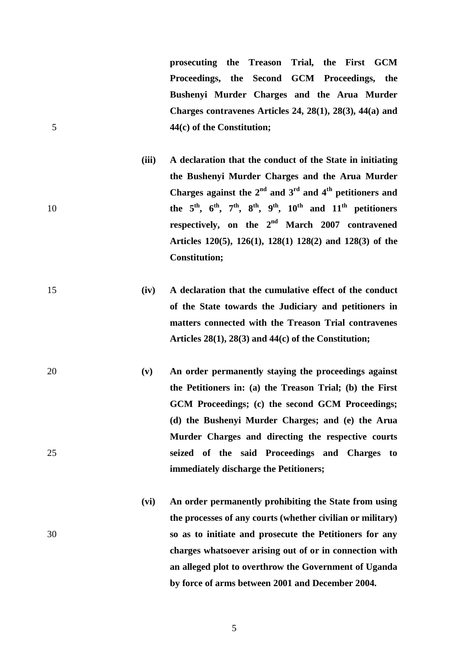**prosecuting the Treason Trial, the First GCM Proceedings, the Second GCM Proceedings, the Bushenyi Murder Charges and the Arua Murder Charges contravenes Articles 24, 28(1), 28(3), 44(a) and**  5 **44(c) of the Constitution;**

- **(iii) A declaration that the conduct of the State in initiating the Bushenyi Murder Charges and the Arua Murder**  Charges against the  $2^{nd}$  and  $3^{rd}$  and  $4^{th}$  petitioners and **the 5th, 6th, 7th, 8th, 9th, 10th and 11th** 10 **petitioners respectively, on the 2nd March 2007 contravened Articles 120(5), 126(1), 128(1) 128(2) and 128(3) of the Constitution;**
- 15 **(iv) A declaration that the cumulative effect of the conduct of the State towards the Judiciary and petitioners in matters connected with the Treason Trial contravenes Articles 28(1), 28(3) and 44(c) of the Constitution;**
- 20 **(v) An order permanently staying the proceedings against the Petitioners in: (a) the Treason Trial; (b) the First GCM Proceedings; (c) the second GCM Proceedings; (d) the Bushenyi Murder Charges; and (e) the Arua Murder Charges and directing the respective courts**  25 **seized of the said Proceedings and Charges to immediately discharge the Petitioners;**
- **(vi) An order permanently prohibiting the State from using the processes of any courts (whether civilian or military)**  30 **so as to initiate and prosecute the Petitioners for any charges whatsoever arising out of or in connection with an alleged plot to overthrow the Government of Uganda by force of arms between 2001 and December 2004.**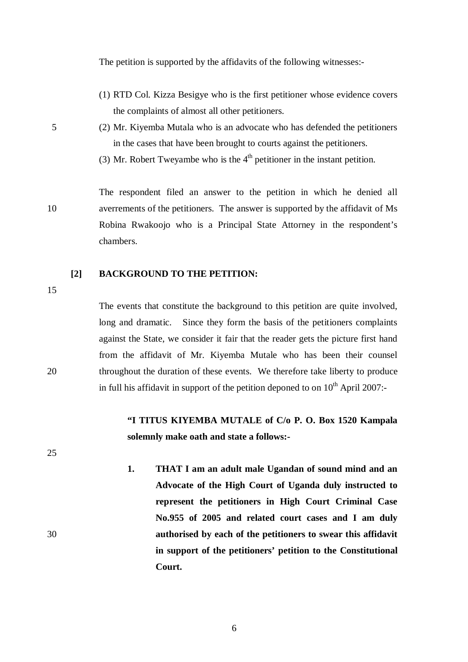The petition is supported by the affidavits of the following witnesses:-

- (1) RTD Col. Kizza Besigye who is the first petitioner whose evidence covers the complaints of almost all other petitioners.
- 5 (2) Mr. Kiyemba Mutala who is an advocate who has defended the petitioners in the cases that have been brought to courts against the petitioners.

(3) Mr. Robert Tweyambe who is the  $4<sup>th</sup>$  petitioner in the instant petition.

The respondent filed an answer to the petition in which he denied all 10 averrements of the petitioners. The answer is supported by the affidavit of Ms Robina Rwakoojo who is a Principal State Attorney in the respondent's chambers.

## **[2] BACKGROUND TO THE PETITION:**

15

The events that constitute the background to this petition are quite involved, long and dramatic. Since they form the basis of the petitioners complaints against the State, we consider it fair that the reader gets the picture first hand from the affidavit of Mr. Kiyemba Mutale who has been their counsel 20 throughout the duration of these events. We therefore take liberty to produce in full his affidavit in support of the petition deponed to on  $10<sup>th</sup>$  April 2007:-

## **"I TITUS KIYEMBA MUTALE of C/o P. O. Box 1520 Kampala solemnly make oath and state a follows:-**

**1. THAT I am an adult male Ugandan of sound mind and an Advocate of the High Court of Uganda duly instructed to represent the petitioners in High Court Criminal Case No.955 of 2005 and related court cases and I am duly**  30 **authorised by each of the petitioners to swear this affidavit in support of the petitioners' petition to the Constitutional Court.**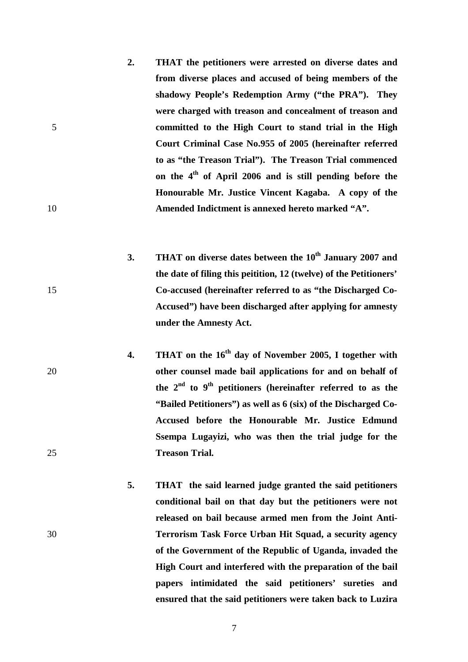- **2. THAT the petitioners were arrested on diverse dates and from diverse places and accused of being members of the shadowy People's Redemption Army ("the PRA"). They were charged with treason and concealment of treason and**  5 **committed to the High Court to stand trial in the High Court Criminal Case No.955 of 2005 (hereinafter referred to as "the Treason Trial"). The Treason Trial commenced on the 4th of April 2006 and is still pending before the Honourable Mr. Justice Vincent Kagaba. A copy of the**  10 **Amended Indictment is annexed hereto marked "A".**
- **3. THAT on diverse dates between the 10th January 2007 and the date of filing this peitition, 12 (twelve) of the Petitioners'**  15 **Co-accused (hereinafter referred to as "the Discharged Co-Accused") have been discharged after applying for amnesty under the Amnesty Act.**
- **4. THAT on the 16th day of November 2005, I together with**  20 **other counsel made bail applications for and on behalf of the 2nd to 9th petitioners (hereinafter referred to as the "Bailed Petitioners") as well as 6 (six) of the Discharged Co-Accused before the Honourable Mr. Justice Edmund Ssempa Lugayizi, who was then the trial judge for the**  25 **Treason Trial.**
- **5. THAT the said learned judge granted the said petitioners conditional bail on that day but the petitioners were not released on bail because armed men from the Joint Anti-**30 **Terrorism Task Force Urban Hit Squad, a security agency of the Government of the Republic of Uganda, invaded the High Court and interfered with the preparation of the bail papers intimidated the said petitioners' sureties and ensured that the said petitioners were taken back to Luzira**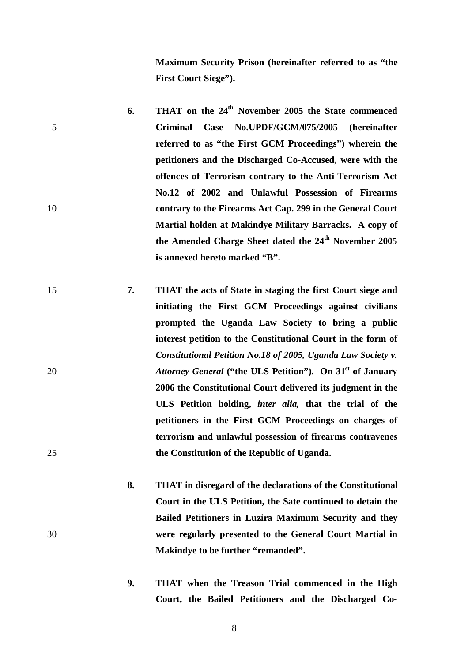**Maximum Security Prison (hereinafter referred to as "the First Court Siege").**

- **6. THAT on the 24th November 2005 the State commenced**  5 **Criminal Case No.UPDF/GCM/075/2005 (hereinafter referred to as "the First GCM Proceedings") wherein the petitioners and the Discharged Co-Accused, were with the offences of Terrorism contrary to the Anti-Terrorism Act No.12 of 2002 and Unlawful Possession of Firearms**  10 **contrary to the Firearms Act Cap. 299 in the General Court Martial holden at Makindye Military Barracks. A copy of the Amended Charge Sheet dated the 24th November 2005 is annexed hereto marked "B".**
- 15 **7. THAT the acts of State in staging the first Court siege and initiating the First GCM Proceedings against civilians prompted the Uganda Law Society to bring a public interest petition to the Constitutional Court in the form of**  *Constitutional Petition No.18 of 2005, Uganda Law Society v.*  20 *Attorney General* **("the ULS Petition"). On 31<sup>st</sup> of January 2006 the Constitutional Court delivered its judgment in the ULS Petition holding,** *inter alia,* **that the trial of the petitioners in the First GCM Proceedings on charges of terrorism and unlawful possession of firearms contravenes**  25 **the Constitution of the Republic of Uganda.**
- **8. THAT in disregard of the declarations of the Constitutional Court in the ULS Petition, the Sate continued to detain the Bailed Petitioners in Luzira Maximum Security and they**  30 **were regularly presented to the General Court Martial in Makindye to be further "remanded".**
	- **9. THAT when the Treason Trial commenced in the High Court, the Bailed Petitioners and the Discharged Co-**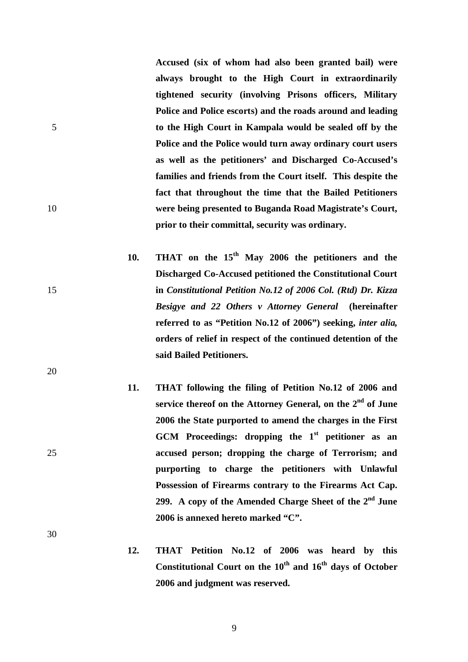**Accused (six of whom had also been granted bail) were always brought to the High Court in extraordinarily tightened security (involving Prisons officers, Military Police and Police escorts) and the roads around and leading**  5 **to the High Court in Kampala would be sealed off by the Police and the Police would turn away ordinary court users as well as the petitioners' and Discharged Co-Accused's families and friends from the Court itself. This despite the fact that throughout the time that the Bailed Petitioners** 10 **were being presented to Buganda Road Magistrate's Court, prior to their committal, security was ordinary.**

- **10. THAT on the 15th May 2006 the petitioners and the Discharged Co-Accused petitioned the Constitutional Court**  15 **in** *Constitutional Petition No.12 of 2006 Col. (Rtd) Dr. Kizza Besigye and 22 Others v Attorney General* **(hereinafter referred to as "Petition No.12 of 2006") seeking,** *inter alia,*  **orders of relief in respect of the continued detention of the said Bailed Petitioners.**
- **11. THAT following the filing of Petition No.12 of 2006 and service thereof on the Attorney General, on the 2nd of June 2006 the State purported to amend the charges in the First GCM Proceedings: dropping the 1st petitioner as an**  25 **accused person; dropping the charge of Terrorism; and purporting to charge the petitioners with Unlawful Possession of Firearms contrary to the Firearms Act Cap. 299. A copy of the Amended Charge Sheet of the 2nd June 2006 is annexed hereto marked "C".**
	- **12. THAT Petition No.12 of 2006 was heard by this Constitutional Court on the 10th and 16th days of October 2006 and judgment was reserved.**

9

20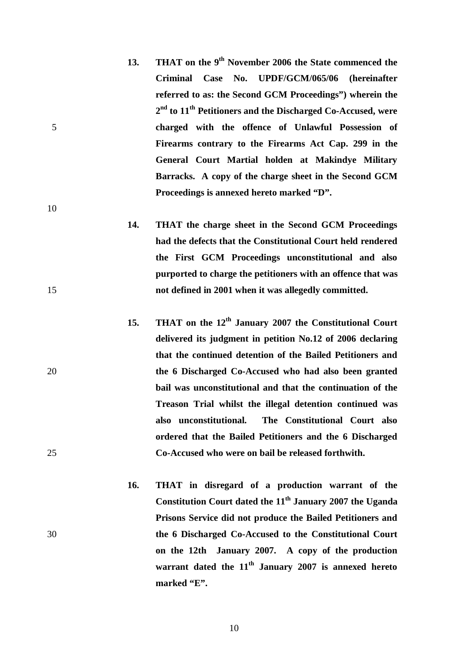- **13. THAT on the 9th November 2006 the State commenced the Criminal Case No. UPDF/GCM/065/06 (hereinafter referred to as: the Second GCM Proceedings") wherein the 2 nd to 11th Petitioners and the Discharged Co-Accused, were**  5 **charged with the offence of Unlawful Possession of Firearms contrary to the Firearms Act Cap. 299 in the General Court Martial holden at Makindye Military Barracks. A copy of the charge sheet in the Second GCM Proceedings is annexed hereto marked "D".**
- **14. THAT the charge sheet in the Second GCM Proceedings had the defects that the Constitutional Court held rendered the First GCM Proceedings unconstitutional and also purported to charge the petitioners with an offence that was**  15 **not defined in 2001 when it was allegedly committed.**

10

- **15. THAT on the 12th January 2007 the Constitutional Court delivered its judgment in petition No.12 of 2006 declaring that the continued detention of the Bailed Petitioners and**  20 **the 6 Discharged Co-Accused who had also been granted bail was unconstitutional and that the continuation of the Treason Trial whilst the illegal detention continued was also unconstitutional. The Constitutional Court also ordered that the Bailed Petitioners and the 6 Discharged**  25 **Co-Accused who were on bail be released forthwith.**
- **16. THAT in disregard of a production warrant of the Constitution Court dated the 11th January 2007 the Uganda Prisons Service did not produce the Bailed Petitioners and**  30 **the 6 Discharged Co-Accused to the Constitutional Court on the 12th January 2007. A copy of the production warrant dated the 11th January 2007 is annexed hereto marked "E".**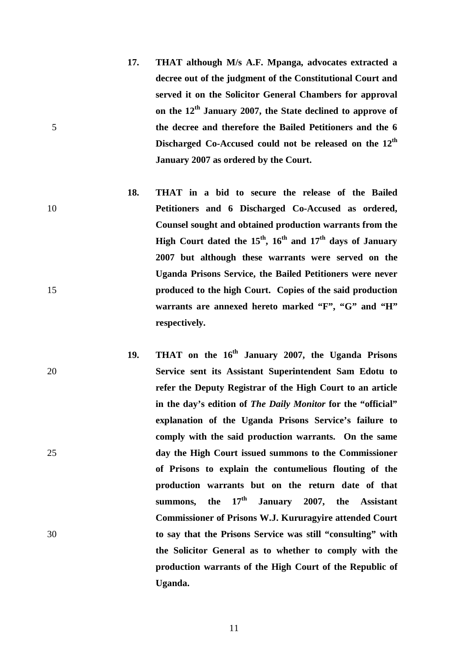- **17. THAT although M/s A.F. Mpanga, advocates extracted a decree out of the judgment of the Constitutional Court and served it on the Solicitor General Chambers for approval on the 12th January 2007, the State declined to approve of**  5 **the decree and therefore the Bailed Petitioners and the 6 Discharged Co-Accused could not be released on the 12th January 2007 as ordered by the Court.**
- **18. THAT in a bid to secure the release of the Bailed**  10 **Petitioners and 6 Discharged Co-Accused as ordered, Counsel sought and obtained production warrants from the High Court dated the 15th, 16th and 17th days of January 2007 but although these warrants were served on the Uganda Prisons Service, the Bailed Petitioners were never**  15 **produced to the high Court. Copies of the said production warrants are annexed hereto marked "F", "G" and "H" respectively.**
- **19. THAT on the 16th January 2007, the Uganda Prisons**  20 **Service sent its Assistant Superintendent Sam Edotu to refer the Deputy Registrar of the High Court to an article in the day's edition of** *The Daily Monitor* **for the "official" explanation of the Uganda Prisons Service's failure to comply with the said production warrants. On the same**  25 **day the High Court issued summons to the Commissioner of Prisons to explain the contumelious flouting of the production warrants but on the return date of that summons, the 17th January 2007, the Assistant Commissioner of Prisons W.J. Kururagyire attended Court**  30 **to say that the Prisons Service was still "consulting" with the Solicitor General as to whether to comply with the production warrants of the High Court of the Republic of Uganda.**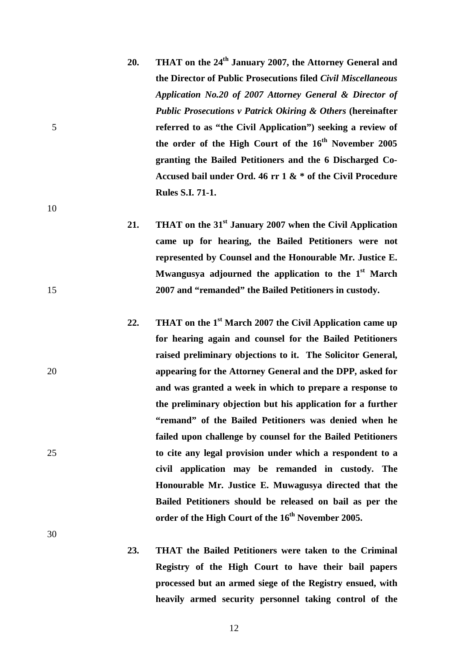- -
- 10

**21. THAT on the 31st January 2007 when the Civil Application came up for hearing, the Bailed Petitioners were not represented by Counsel and the Honourable Mr. Justice E. Mwangusya adjourned the application to the 1st March**  15 **2007 and "remanded" the Bailed Petitioners in custody.**

**20. THAT on the 24th January 2007, the Attorney General and** 

5 **referred to as "the Civil Application") seeking a review of** 

**Rules S.I. 71-1.**

**the Director of Public Prosecutions filed** *Civil Miscellaneous* 

*Application No.20 of 2007 Attorney General & Director of* 

*Public Prosecutions v Patrick Okiring & Others* **(hereinafter** 

**the order of the High Court of the 16th November 2005** 

**granting the Bailed Petitioners and the 6 Discharged Co-**

**Accused bail under Ord. 46 rr 1 & \* of the Civil Procedure** 

- **22. THAT on the 1st March 2007 the Civil Application came up for hearing again and counsel for the Bailed Petitioners raised preliminary objections to it. The Solicitor General,**  20 **appearing for the Attorney General and the DPP, asked for and was granted a week in which to prepare a response to the preliminary objection but his application for a further "remand" of the Bailed Petitioners was denied when he failed upon challenge by counsel for the Bailed Petitioners**  25 **to cite any legal provision under which a respondent to a civil application may be remanded in custody. The Honourable Mr. Justice E. Muwagusya directed that the Bailed Petitioners should be released on bail as per the order of the High Court of the 16th November 2005.**
- 30

**23. THAT the Bailed Petitioners were taken to the Criminal Registry of the High Court to have their bail papers processed but an armed siege of the Registry ensued, with heavily armed security personnel taking control of the**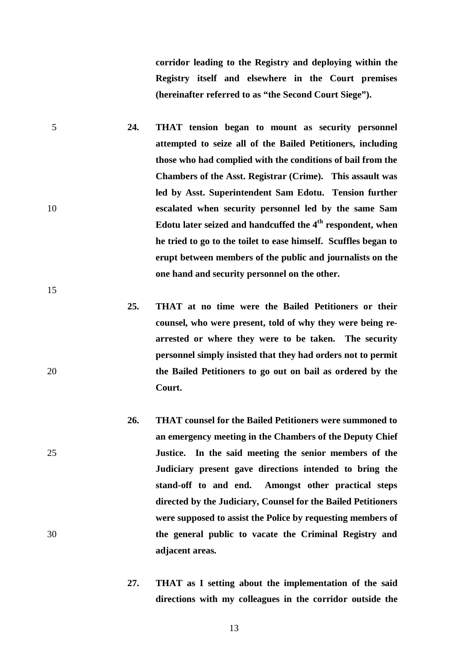**corridor leading to the Registry and deploying within the Registry itself and elsewhere in the Court premises (hereinafter referred to as "the Second Court Siege").**

5 **24. THAT tension began to mount as security personnel attempted to seize all of the Bailed Petitioners, including those who had complied with the conditions of bail from the Chambers of the Asst. Registrar (Crime). This assault was led by Asst. Superintendent Sam Edotu. Tension further**  10 **escalated when security personnel led by the same Sam Edotu later seized and handcuffed the 4th respondent, when he tried to go to the toilet to ease himself. Scuffles began to erupt between members of the public and journalists on the one hand and security personnel on the other.**

15

- **25. THAT at no time were the Bailed Petitioners or their counsel, who were present, told of why they were being rearrested or where they were to be taken. The security personnel simply insisted that they had orders not to permit**  20 **the Bailed Petitioners to go out on bail as ordered by the Court.**
- **26. THAT counsel for the Bailed Petitioners were summoned to an emergency meeting in the Chambers of the Deputy Chief**  25 **Justice. In the said meeting the senior members of the Judiciary present gave directions intended to bring the stand-off to and end. Amongst other practical steps directed by the Judiciary, Counsel for the Bailed Petitioners were supposed to assist the Police by requesting members of**  30 **the general public to vacate the Criminal Registry and adjacent areas.**
	- **27. THAT as I setting about the implementation of the said directions with my colleagues in the corridor outside the**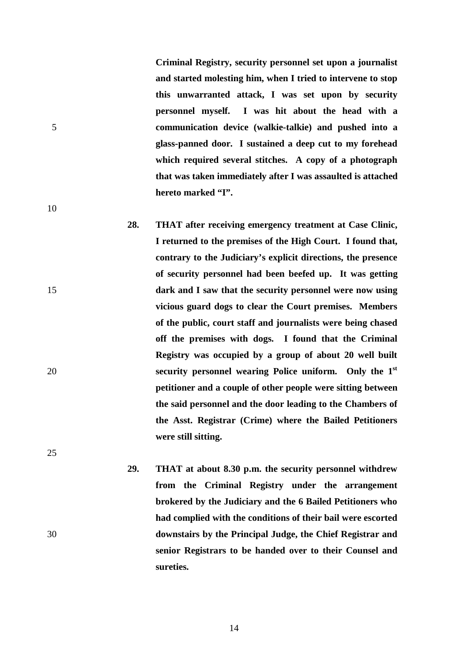**Criminal Registry, security personnel set upon a journalist and started molesting him, when I tried to intervene to stop this unwarranted attack, I was set upon by security personnel myself. I was hit about the head with a**  5 **communication device (walkie-talkie) and pushed into a glass-panned door. I sustained a deep cut to my forehead which required several stitches. A copy of a photograph that was taken immediately after I was assaulted is attached hereto marked "I".**

**28. THAT after receiving emergency treatment at Case Clinic, I returned to the premises of the High Court. I found that, contrary to the Judiciary's explicit directions, the presence of security personnel had been beefed up. It was getting**  15 **dark and I saw that the security personnel were now using vicious guard dogs to clear the Court premises. Members of the public, court staff and journalists were being chased off the premises with dogs. I found that the Criminal Registry was occupied by a group of about 20 well built security personnel wearing Police uniform. Only the 1st** 20 **petitioner and a couple of other people were sitting between the said personnel and the door leading to the Chambers of the Asst. Registrar (Crime) where the Bailed Petitioners were still sitting.**

10

25

**29. THAT at about 8.30 p.m. the security personnel withdrew from the Criminal Registry under the arrangement brokered by the Judiciary and the 6 Bailed Petitioners who had complied with the conditions of their bail were escorted** 30 **downstairs by the Principal Judge, the Chief Registrar and senior Registrars to be handed over to their Counsel and sureties.**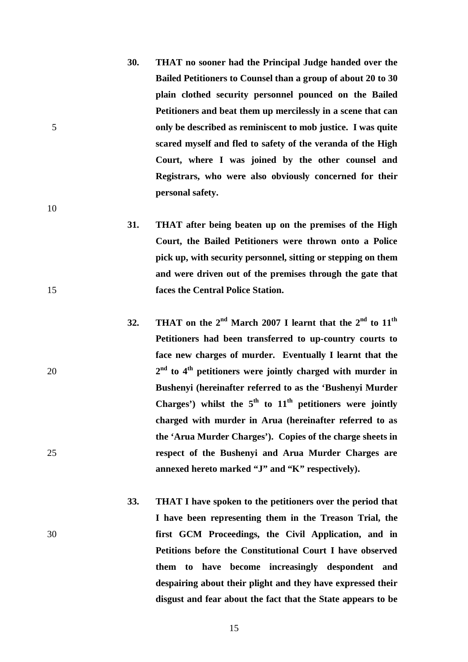- **30. THAT no sooner had the Principal Judge handed over the Bailed Petitioners to Counsel than a group of about 20 to 30 plain clothed security personnel pounced on the Bailed Petitioners and beat them up mercilessly in a scene that can**  5 **only be described as reminiscent to mob justice. I was quite scared myself and fled to safety of the veranda of the High Court, where I was joined by the other counsel and Registrars, who were also obviously concerned for their personal safety.**
- **31. THAT after being beaten up on the premises of the High Court, the Bailed Petitioners were thrown onto a Police pick up, with security personnel, sitting or stepping on them and were driven out of the premises through the gate that**  15 **faces the Central Police Station.**

10

- **32. THAT on the 2 nd March 2007 I learnt that the 2nd to 11th Petitioners had been transferred to up-country courts to face new charges of murder. Eventually I learnt that the 2 nd to 4th** 20 **petitioners were jointly charged with murder in Bushenyi (hereinafter referred to as the 'Bushenyi Murder Charges')** whilst the  $5<sup>th</sup>$  to  $11<sup>th</sup>$  petitioners were jointly **charged with murder in Arua (hereinafter referred to as the 'Arua Murder Charges'). Copies of the charge sheets in**  25 **respect of the Bushenyi and Arua Murder Charges are annexed hereto marked "J" and "K" respectively).**
- **33. THAT I have spoken to the petitioners over the period that I have been representing them in the Treason Trial, the**  30 **first GCM Proceedings, the Civil Application, and in Petitions before the Constitutional Court I have observed them to have become increasingly despondent and despairing about their plight and they have expressed their disgust and fear about the fact that the State appears to be**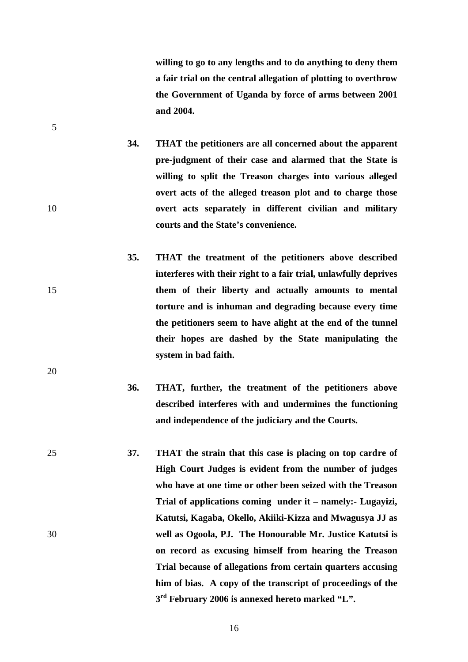**willing to go to any lengths and to do anything to deny them a fair trial on the central allegation of plotting to overthrow the Government of Uganda by force of arms between 2001 and 2004.**

**34. THAT the petitioners are all concerned about the apparent pre-judgment of their case and alarmed that the State is willing to split the Treason charges into various alleged overt acts of the alleged treason plot and to charge those**  10 **overt acts separately in different civilian and military courts and the State's convenience.**

5

- **35. THAT the treatment of the petitioners above described interferes with their right to a fair trial, unlawfully deprives**  15 **them of their liberty and actually amounts to mental torture and is inhuman and degrading because every time the petitioners seem to have alight at the end of the tunnel their hopes are dashed by the State manipulating the system in bad faith.**
	- **36. THAT, further, the treatment of the petitioners above described interferes with and undermines the functioning and independence of the judiciary and the Courts.**
- 25 **37. THAT the strain that this case is placing on top cardre of High Court Judges is evident from the number of judges who have at one time or other been seized with the Treason Trial of applications coming under it – namely:- Lugayizi, Katutsi, Kagaba, Okello, Akiiki-Kizza and Mwagusya JJ as**  30 **well as Ogoola, PJ. The Honourable Mr. Justice Katutsi is on record as excusing himself from hearing the Treason Trial because of allegations from certain quarters accusing him of bias. A copy of the transcript of proceedings of the 3 rd February 2006 is annexed hereto marked "L".**
	- 16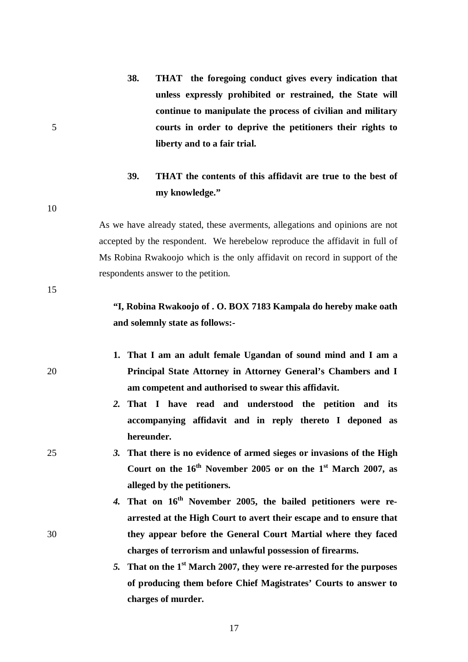**38. THAT the foregoing conduct gives every indication that unless expressly prohibited or restrained, the State will continue to manipulate the process of civilian and military**  5 **courts in order to deprive the petitioners their rights to liberty and to a fair trial.**

# **39. THAT the contents of this affidavit are true to the best of my knowledge."**

As we have already stated, these averments, allegations and opinions are not accepted by the respondent. We herebelow reproduce the affidavit in full of Ms Robina Rwakoojo which is the only affidavit on record in support of the respondents answer to the petition.

15

10

**"I, Robina Rwakoojo of . O. BOX 7183 Kampala do hereby make oath and solemnly state as follows:-**

- **1. That I am an adult female Ugandan of sound mind and I am a**  20 **Principal State Attorney in Attorney General's Chambers and I am competent and authorised to swear this affidavit.**
	- *2.* **That I have read and understood the petition and its accompanying affidavit and in reply thereto I deponed as hereunder.**

25 *3.* **That there is no evidence of armed sieges or invasions of the High Court on the 16th November 2005 or on the 1st March 2007, as alleged by the petitioners.**

- *4.* **That on 16th November 2005, the bailed petitioners were rearrested at the High Court to avert their escape and to ensure that**  30 **they appear before the General Court Martial where they faced charges of terrorism and unlawful possession of firearms.**
	- *5.* **That on the 1st March 2007, they were re-arrested for the purposes of producing them before Chief Magistrates' Courts to answer to charges of murder.**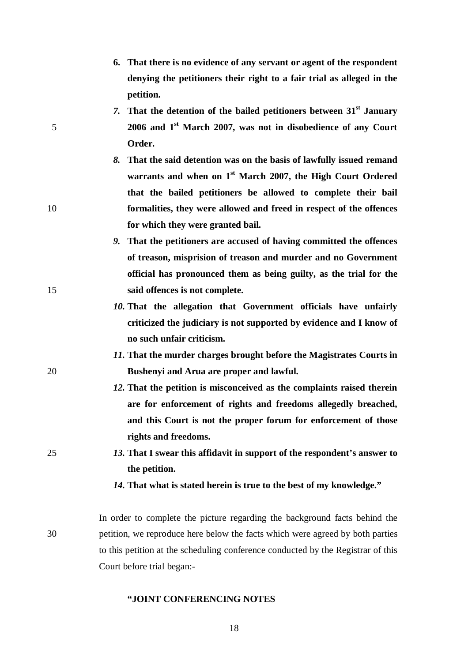- **6. That there is no evidence of any servant or agent of the respondent denying the petitioners their right to a fair trial as alleged in the petition.**
- *7.* **That the detention of the bailed petitioners between 31st January 2006 and 1<sup>st</sup> March 2007, was not in disobedience of any Court Order.**
- *8.* **That the said detention was on the basis of lawfully issued remand warrants and when on 1 st March 2007, the High Court Ordered that the bailed petitioners be allowed to complete their bail**  10 **formalities, they were allowed and freed in respect of the offences for which they were granted bail.**

*9.* **That the petitioners are accused of having committed the offences of treason, misprision of treason and murder and no Government official has pronounced them as being guilty, as the trial for the**  15 **said offences is not complete.**

> *10.* **That the allegation that Government officials have unfairly criticized the judiciary is not supported by evidence and I know of no such unfair criticism.**

*11.* **That the murder charges brought before the Magistrates Courts in**  20 **Bushenyi and Arua are proper and lawful.**

- *12.* **That the petition is misconceived as the complaints raised therein are for enforcement of rights and freedoms allegedly breached, and this Court is not the proper forum for enforcement of those rights and freedoms.**
- 25 *13.* **That I swear this affidavit in support of the respondent's answer to the petition.**

*14.* **That what is stated herein is true to the best of my knowledge."**

In order to complete the picture regarding the background facts behind the 30 petition, we reproduce here below the facts which were agreed by both parties to this petition at the scheduling conference conducted by the Registrar of this Court before trial began:-

## **"JOINT CONFERENCING NOTES**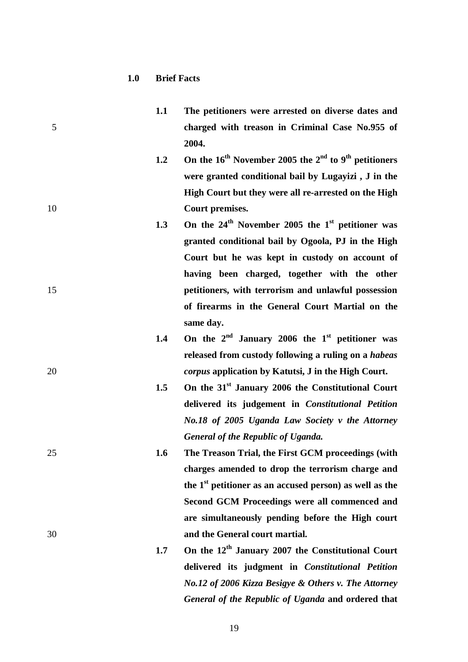| 1.0 | <b>Brief Facts</b> |  |
|-----|--------------------|--|
|     |                    |  |

|  | The petitioners were arrested on diverse dates and |
|--|----------------------------------------------------|
|  | charged with treason in Criminal Case No.955 of    |
|  | 2004.                                              |

**1.2 On the 16th November 2005 the 2 nd to 9th petitioners were granted conditional bail by Lugayizi , J in the High Court but they were all re-arrested on the High**  10 **Court premises.**

- **1.3 On the 24th November 2005 the 1st petitioner was granted conditional bail by Ogoola, PJ in the High Court but he was kept in custody on account of having been charged, together with the other**  15 **petitioners, with terrorism and unlawful possession of firearms in the General Court Martial on the same day.**
- **1.4 On the 2nd January 2006 the 1st petitioner was released from custody following a ruling on a** *habeas*  20 *corpus* **application by Katutsi, J in the High Court.**
	- **1.5 On the 31st January 2006 the Constitutional Court delivered its judgement in** *Constitutional Petition No.18 of 2005 Uganda Law Society v the Attorney General of the Republic of Uganda.*
- 25 **1.6 The Treason Trial, the First GCM proceedings (with charges amended to drop the terrorism charge and the 1st petitioner as an accused person) as well as the Second GCM Proceedings were all commenced and are simultaneously pending before the High court**  30 **and the General court martial.**
	- **1.7 On the 12th January 2007 the Constitutional Court delivered its judgment in** *Constitutional Petition No.12 of 2006 Kizza Besigye & Others v. The Attorney General of the Republic of Uganda* **and ordered that**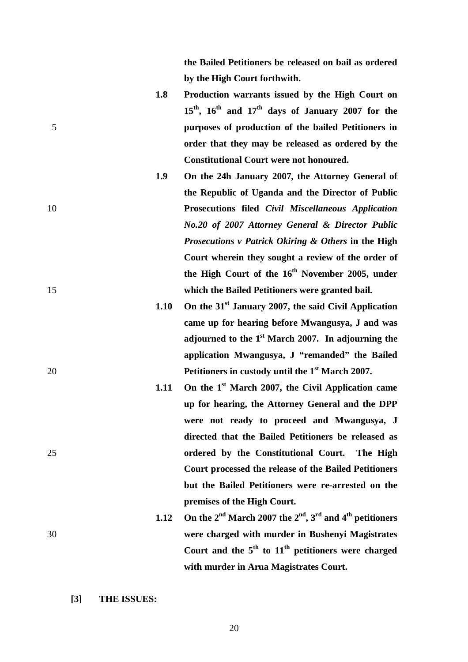**the Bailed Petitioners be released on bail as ordered by the High Court forthwith.**

- **1.8 Production warrants issued by the High Court on 15th, 16th and 17th days of January 2007 for the**  5 **purposes of production of the bailed Petitioners in order that they may be released as ordered by the Constitutional Court were not honoured.**
- **1.9 On the 24h January 2007, the Attorney General of the Republic of Uganda and the Director of Public**  10 **Prosecutions filed** *Civil Miscellaneous Application No.20 of 2007 Attorney General & Director Public Prosecutions v Patrick Okiring & Others* **in the High Court wherein they sought a review of the order of the High Court of the 16th November 2005, under**  15 **which the Bailed Petitioners were granted bail.**
- **1.10 On the 31st January 2007, the said Civil Application came up for hearing before Mwangusya, J and was adjourned to the 1st March 2007. In adjourning the application Mwangusya, J "remanded" the Bailed Petitioners** in custody until the 1<sup>st</sup> March 2007.
- **1.11 On the 1st March 2007, the Civil Application came up for hearing, the Attorney General and the DPP were not ready to proceed and Mwangusya, J directed that the Bailed Petitioners be released as**  25 **ordered by the Constitutional Court. The High Court processed the release of the Bailed Petitioners but the Bailed Petitioners were re-arrested on the premises of the High Court.**
- **1.12 On the 2<sup>nd</sup> March 2007 the 2<sup>nd</sup>, 3<sup>rd</sup> and 4<sup>th</sup> petitioners** 30 **were charged with murder in Bushenyi Magistrates**  Court and the  $5<sup>th</sup>$  to  $11<sup>th</sup>$  petitioners were charged **with murder in Arua Magistrates Court.**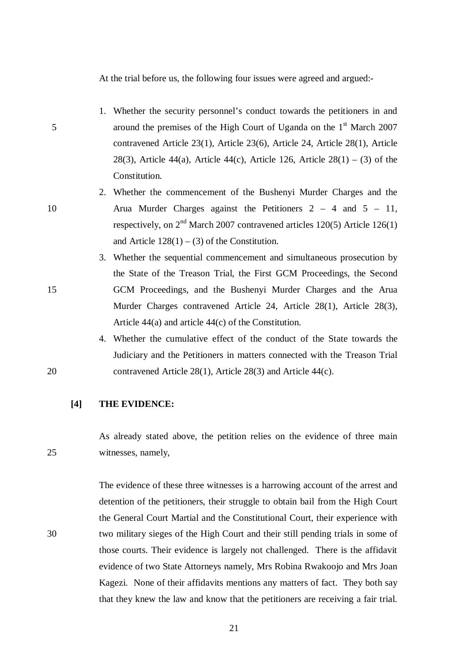At the trial before us, the following four issues were agreed and argued:-

- 1. Whether the security personnel's conduct towards the petitioners in and 5 around the premises of the High Court of Uganda on the  $1<sup>st</sup>$  March 2007 contravened Article 23(1), Article 23(6), Article 24, Article 28(1), Article 28(3), Article 44(a), Article 44(c), Article 126, Article  $28(1) - (3)$  of the Constitution.
- 2. Whether the commencement of the Bushenyi Murder Charges and the 10 Arua Murder Charges against the Petitioners 2 – 4 and 5 – 11, respectively, on  $2<sup>nd</sup>$  March 2007 contravened articles 120(5) Article 126(1) and Article  $128(1) - (3)$  of the Constitution.
- 3. Whether the sequential commencement and simultaneous prosecution by the State of the Treason Trial, the First GCM Proceedings, the Second 15 GCM Proceedings, and the Bushenyi Murder Charges and the Arua Murder Charges contravened Article 24, Article 28(1), Article 28(3), Article 44(a) and article 44(c) of the Constitution.
- 4. Whether the cumulative effect of the conduct of the State towards the Judiciary and the Petitioners in matters connected with the Treason Trial 20 contravened Article 28(1), Article 28(3) and Article 44(c).

## **[4] THE EVIDENCE:**

As already stated above, the petition relies on the evidence of three main 25 witnesses, namely,

The evidence of these three witnesses is a harrowing account of the arrest and detention of the petitioners, their struggle to obtain bail from the High Court the General Court Martial and the Constitutional Court, their experience with 30 two military sieges of the High Court and their still pending trials in some of those courts. Their evidence is largely not challenged. There is the affidavit evidence of two State Attorneys namely, Mrs Robina Rwakoojo and Mrs Joan Kagezi. None of their affidavits mentions any matters of fact. They both say that they knew the law and know that the petitioners are receiving a fair trial.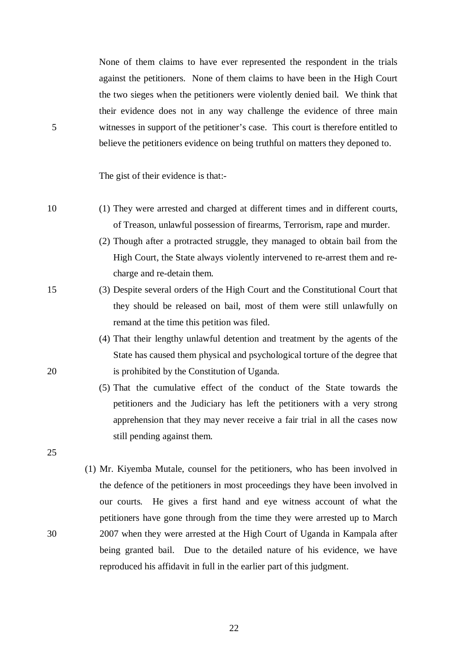None of them claims to have ever represented the respondent in the trials against the petitioners. None of them claims to have been in the High Court the two sieges when the petitioners were violently denied bail. We think that their evidence does not in any way challenge the evidence of three main 5 witnesses in support of the petitioner's case. This court is therefore entitled to believe the petitioners evidence on being truthful on matters they deponed to.

The gist of their evidence is that:-

- 10 (1) They were arrested and charged at different times and in different courts, of Treason, unlawful possession of firearms, Terrorism, rape and murder.
	- (2) Though after a protracted struggle, they managed to obtain bail from the High Court, the State always violently intervened to re-arrest them and recharge and re-detain them.
- 15 (3) Despite several orders of the High Court and the Constitutional Court that they should be released on bail, most of them were still unlawfully on remand at the time this petition was filed.
- (4) That their lengthy unlawful detention and treatment by the agents of the State has caused them physical and psychological torture of the degree that 20 is prohibited by the Constitution of Uganda.
	- (5) That the cumulative effect of the conduct of the State towards the petitioners and the Judiciary has left the petitioners with a very strong apprehension that they may never receive a fair trial in all the cases now still pending against them.
- (1) Mr. Kiyemba Mutale, counsel for the petitioners, who has been involved in the defence of the petitioners in most proceedings they have been involved in our courts. He gives a first hand and eye witness account of what the petitioners have gone through from the time they were arrested up to March 30 2007 when they were arrested at the High Court of Uganda in Kampala after being granted bail. Due to the detailed nature of his evidence, we have reproduced his affidavit in full in the earlier part of this judgment.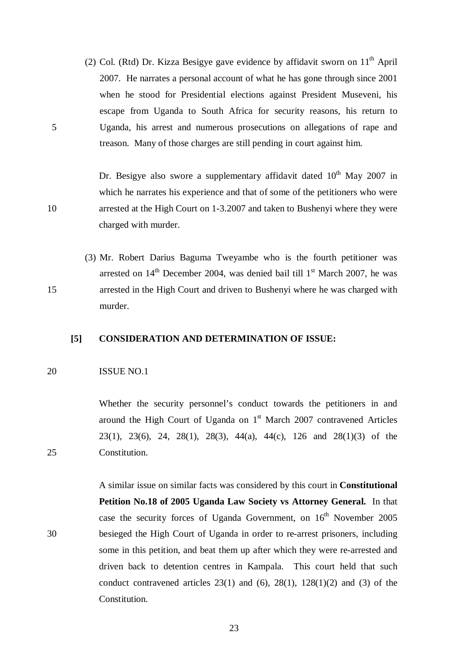(2) Col. (Rtd) Dr. Kizza Besigye gave evidence by affidavit sworn on  $11<sup>th</sup>$  April 2007. He narrates a personal account of what he has gone through since 2001 when he stood for Presidential elections against President Museveni, his escape from Uganda to South Africa for security reasons, his return to 5 Uganda, his arrest and numerous prosecutions on allegations of rape and treason. Many of those charges are still pending in court against him.

Dr. Besigye also swore a supplementary affidavit dated  $10<sup>th</sup>$  May 2007 in which he narrates his experience and that of some of the petitioners who were 10 arrested at the High Court on 1-3.2007 and taken to Bushenyi where they were charged with murder.

(3) Mr. Robert Darius Baguma Tweyambe who is the fourth petitioner was arrested on  $14<sup>th</sup>$  December 2004, was denied bail till  $1<sup>st</sup>$  March 2007, he was 15 arrested in the High Court and driven to Bushenyi where he was charged with murder.

#### **[5] CONSIDERATION AND DETERMINATION OF ISSUE:**

20 **ISSUE NO.1** 

Whether the security personnel's conduct towards the petitioners in and around the High Court of Uganda on  $1<sup>st</sup>$  March 2007 contravened Articles 23(1), 23(6), 24, 28(1), 28(3), 44(a), 44(c), 126 and 28(1)(3) of the 25 Constitution.

A similar issue on similar facts was considered by this court in **Constitutional Petition No.18 of 2005 Uganda Law Society vs Attorney General.** In that case the security forces of Uganda Government, on  $16<sup>th</sup>$  November 2005 30 besieged the High Court of Uganda in order to re-arrest prisoners, including some in this petition, and beat them up after which they were re-arrested and driven back to detention centres in Kampala. This court held that such conduct contravened articles  $23(1)$  and  $(6)$ ,  $28(1)$ ,  $128(1)(2)$  and  $(3)$  of the Constitution.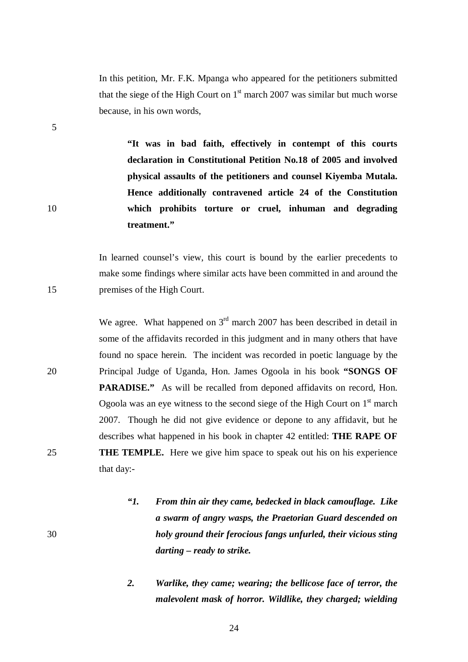In this petition, Mr. F.K. Mpanga who appeared for the petitioners submitted that the siege of the High Court on  $1<sup>st</sup>$  march 2007 was similar but much worse because, in his own words,

**"It was in bad faith, effectively in contempt of this courts declaration in Constitutional Petition No.18 of 2005 and involved physical assaults of the petitioners and counsel Kiyemba Mutala. Hence additionally contravened article 24 of the Constitution** 10 **which prohibits torture or cruel, inhuman and degrading treatment."**

In learned counsel's view, this court is bound by the earlier precedents to make some findings where similar acts have been committed in and around the 15 premises of the High Court.

We agree. What happened on  $3<sup>rd</sup>$  march 2007 has been described in detail in some of the affidavits recorded in this judgment and in many others that have found no space herein. The incident was recorded in poetic language by the 20 Principal Judge of Uganda, Hon. James Ogoola in his book **"SONGS OF PARADISE."** As will be recalled from deponed affidavits on record, Hon. Ogoola was an eye witness to the second siege of the High Court on  $1<sup>st</sup>$  march 2007. Though he did not give evidence or depone to any affidavit, but he describes what happened in his book in chapter 42 entitled: **THE RAPE OF**  25 **THE TEMPLE.** Here we give him space to speak out his on his experience that day:-

- *"1. From thin air they came, bedecked in black camouflage. Like a swarm of angry wasps, the Praetorian Guard descended on*  30 *holy ground their ferocious fangs unfurled, their vicious sting darting – ready to strike.*
	- *2. Warlike, they came; wearing; the bellicose face of terror, the malevolent mask of horror. Wildlike, they charged; wielding*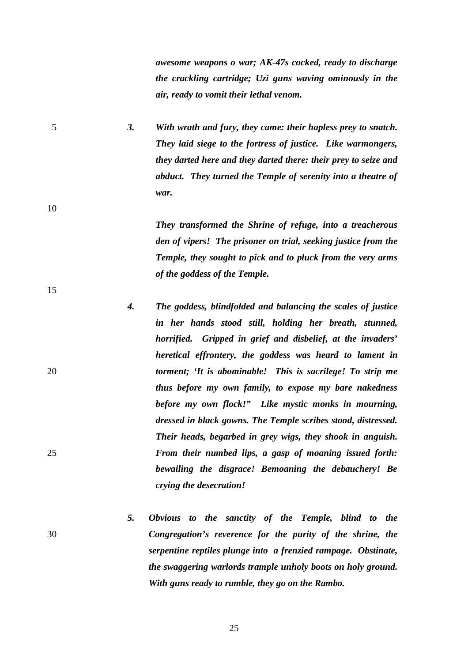*awesome weapons o war; AK-47s cocked, ready to discharge the crackling cartridge; Uzi guns waving ominously in the air, ready to vomit their lethal venom.*

5 *3. With wrath and fury, they came: their hapless prey to snatch. They laid siege to the fortress of justice. Like warmongers, they darted here and they darted there: their prey to seize and abduct. They turned the Temple of serenity into a theatre of war.*

10

15

*They transformed the Shrine of refuge, into a treacherous den of vipers! The prisoner on trial, seeking justice from the Temple, they sought to pick and to pluck from the very arms of the goddess of the Temple.*

- *4. The goddess, blindfolded and balancing the scales of justice in her hands stood still, holding her breath, stunned, horrified. Gripped in grief and disbelief, at the invaders' heretical effrontery, the goddess was heard to lament in*  20 *torment; 'It is abominable! This is sacrilege! To strip me thus before my own family, to expose my bare nakedness before my own flock!" Like mystic monks in mourning, dressed in black gowns. The Temple scribes stood, distressed. Their heads, begarbed in grey wigs, they shook in anguish.*  25 *From their numbed lips, a gasp of moaning issued forth: bewailing the disgrace! Bemoaning the debauchery! Be crying the desecration!*
- *5. Obvious to the sanctity of the Temple, blind to the*  30 *Congregation's reverence for the purity of the shrine, the serpentine reptiles plunge into a frenzied rampage. Obstinate, the swaggering warlords trample unholy boots on holy ground. With guns ready to rumble, they go on the Rambo.*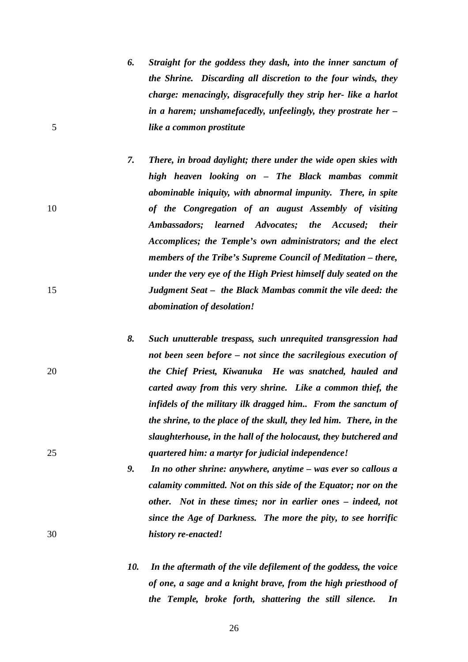- *6. Straight for the goddess they dash, into the inner sanctum of the Shrine. Discarding all discretion to the four winds, they charge: menacingly, disgracefully they strip her- like a harlot in a harem; unshamefacedly, unfeelingly, they prostrate her –* 5 *like a common prostitute*
- *7. There, in broad daylight; there under the wide open skies with high heaven looking on – The Black mambas commit abominable iniquity, with abnormal impunity. There, in spite*  10 *of the Congregation of an august Assembly of visiting Ambassadors; learned Advocates; the Accused; their Accomplices; the Temple's own administrators; and the elect members of the Tribe's Supreme Council of Meditation – there, under the very eye of the High Priest himself duly seated on the*  15 *Judgment Seat – the Black Mambas commit the vile deed: the abomination of desolation!*
- *8. Such unutterable trespass, such unrequited transgression had not been seen before – not since the sacrilegious execution of*  20 *the Chief Priest, Kiwanuka He was snatched, hauled and carted away from this very shrine. Like a common thief, the infidels of the military ilk dragged him.. From the sanctum of the shrine, to the place of the skull, they led him. There, in the slaughterhouse, in the hall of the holocaust, they butchered and*  25 *quartered him: a martyr for judicial independence!*
- *9. In no other shrine: anywhere, anytime – was ever so callous a calamity committed. Not on this side of the Equator; nor on the other. Not in these times; nor in earlier ones – indeed, not since the Age of Darkness. The more the pity, to see horrific*  30 *history re-enacted!*
	- *10. In the aftermath of the vile defilement of the goddess, the voice of one, a sage and a knight brave, from the high priesthood of the Temple, broke forth, shattering the still silence. In*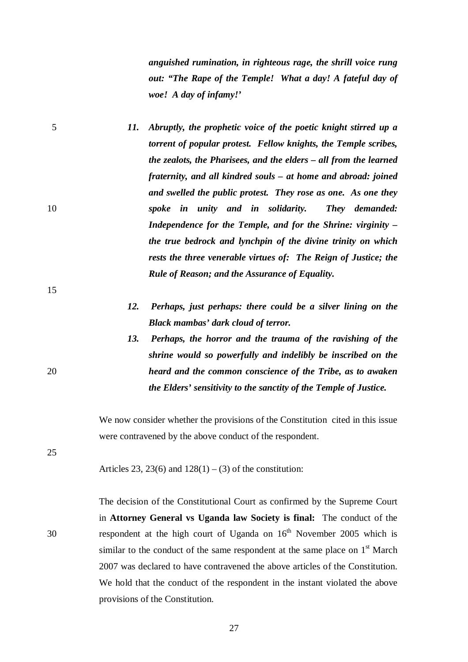*anguished rumination, in righteous rage, the shrill voice rung out: "The Rape of the Temple! What a day! A fateful day of woe! A day of infamy!'*

5 *11. Abruptly, the prophetic voice of the poetic knight stirred up a torrent of popular protest. Fellow knights, the Temple scribes, the zealots, the Pharisees, and the elders – all from the learned fraternity, and all kindred souls – at home and abroad: joined and swelled the public protest. They rose as one. As one they*  10 *spoke in unity and in solidarity. They demanded: Independence for the Temple, and for the Shrine: virginity – the true bedrock and lynchpin of the divine trinity on which rests the three venerable virtues of: The Reign of Justice; the Rule of Reason; and the Assurance of Equality.*

- *12. Perhaps, just perhaps: there could be a silver lining on the Black mambas' dark cloud of terror.*
- *13. Perhaps, the horror and the trauma of the ravishing of the shrine would so powerfully and indelibly be inscribed on the*  20 *heard and the common conscience of the Tribe, as to awaken the Elders' sensitivity to the sanctity of the Temple of Justice.*

We now consider whether the provisions of the Constitution cited in this issue were contravened by the above conduct of the respondent.

Articles 23, 23(6) and  $128(1) - (3)$  of the constitution:

15

25

The decision of the Constitutional Court as confirmed by the Supreme Court in **Attorney General vs Uganda law Society is final:** The conduct of the 30 respondent at the high court of Uganda on  $16<sup>th</sup>$  November 2005 which is similar to the conduct of the same respondent at the same place on  $1<sup>st</sup>$  March 2007 was declared to have contravened the above articles of the Constitution. We hold that the conduct of the respondent in the instant violated the above provisions of the Constitution.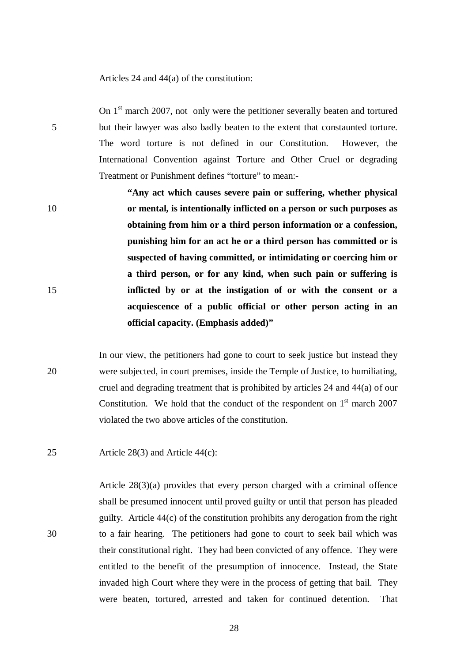Articles 24 and 44(a) of the constitution:

On  $1<sup>st</sup>$  march 2007, not only were the petitioner severally beaten and tortured 5 but their lawyer was also badly beaten to the extent that constaunted torture. The word torture is not defined in our Constitution. However, the International Convention against Torture and Other Cruel or degrading Treatment or Punishment defines "torture" to mean:-

- **"Any act which causes severe pain or suffering, whether physical**  10 **or mental, is intentionally inflicted on a person or such purposes as obtaining from him or a third person information or a confession, punishing him for an act he or a third person has committed or is suspected of having committed, or intimidating or coercing him or a third person, or for any kind, when such pain or suffering is**  15 **inflicted by or at the instigation of or with the consent or a acquiescence of a public official or other person acting in an official capacity. (Emphasis added)"**
- In our view, the petitioners had gone to court to seek justice but instead they 20 were subjected, in court premises, inside the Temple of Justice, to humiliating, cruel and degrading treatment that is prohibited by articles 24 and 44(a) of our Constitution. We hold that the conduct of the respondent on  $1<sup>st</sup>$  march 2007 violated the two above articles of the constitution.

Article 28(3)(a) provides that every person charged with a criminal offence shall be presumed innocent until proved guilty or until that person has pleaded guilty. Article 44(c) of the constitution prohibits any derogation from the right 30 to a fair hearing. The petitioners had gone to court to seek bail which was their constitutional right. They had been convicted of any offence. They were entitled to the benefit of the presumption of innocence. Instead, the State invaded high Court where they were in the process of getting that bail. They were beaten, tortured, arrested and taken for continued detention. That

<sup>25</sup> Article 28(3) and Article 44(c):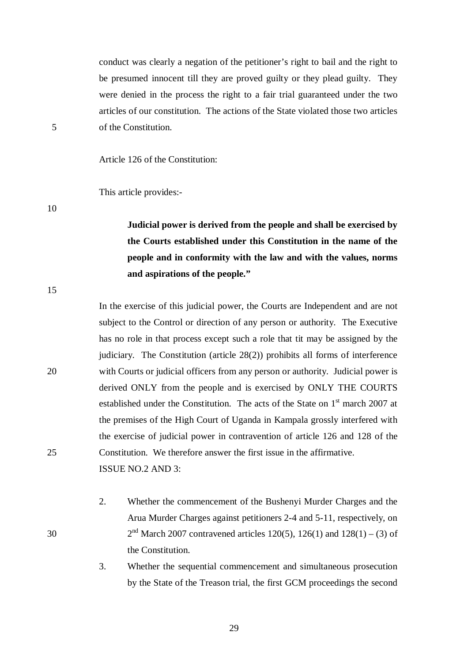conduct was clearly a negation of the petitioner's right to bail and the right to be presumed innocent till they are proved guilty or they plead guilty. They were denied in the process the right to a fair trial guaranteed under the two articles of our constitution. The actions of the State violated those two articles 5 of the Constitution.

Article 126 of the Constitution:

This article provides:-

10

**Judicial power is derived from the people and shall be exercised by the Courts established under this Constitution in the name of the people and in conformity with the law and with the values, norms and aspirations of the people."**

15

In the exercise of this judicial power, the Courts are Independent and are not subject to the Control or direction of any person or authority. The Executive has no role in that process except such a role that tit may be assigned by the judiciary. The Constitution (article 28(2)) prohibits all forms of interference 20 with Courts or judicial officers from any person or authority. Judicial power is derived ONLY from the people and is exercised by ONLY THE COURTS established under the Constitution. The acts of the State on  $1<sup>st</sup>$  march 2007 at the premises of the High Court of Uganda in Kampala grossly interfered with the exercise of judicial power in contravention of article 126 and 128 of the 25 Constitution. We therefore answer the first issue in the affirmative. ISSUE NO.2 AND 3:

- 2. Whether the commencement of the Bushenyi Murder Charges and the Arua Murder Charges against petitioners 2-4 and 5-11, respectively, on 30 2<sup>nd</sup> March 2007 contravened articles 120(5), 126(1) and 128(1) – (3) of the Constitution.
	- 3. Whether the sequential commencement and simultaneous prosecution by the State of the Treason trial, the first GCM proceedings the second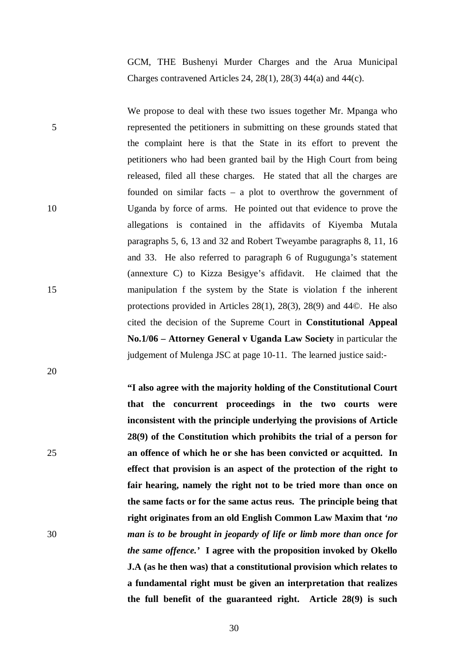GCM, THE Bushenyi Murder Charges and the Arua Municipal Charges contravened Articles 24, 28(1), 28(3) 44(a) and 44(c).

We propose to deal with these two issues together Mr. Mpanga who 5 represented the petitioners in submitting on these grounds stated that the complaint here is that the State in its effort to prevent the petitioners who had been granted bail by the High Court from being released, filed all these charges. He stated that all the charges are founded on similar facts – a plot to overthrow the government of 10 Uganda by force of arms. He pointed out that evidence to prove the allegations is contained in the affidavits of Kiyemba Mutala paragraphs 5, 6, 13 and 32 and Robert Tweyambe paragraphs 8, 11, 16 and 33. He also referred to paragraph 6 of Rugugunga's statement (annexture C) to Kizza Besigye's affidavit. He claimed that the 15 manipulation f the system by the State is violation f the inherent protections provided in Articles 28(1), 28(3), 28(9) and 44©. He also cited the decision of the Supreme Court in **Constitutional Appeal No.1/06 – Attorney General v Uganda Law Society** in particular the judgement of Mulenga JSC at page 10-11. The learned justice said:-

**"I also agree with the majority holding of the Constitutional Court that the concurrent proceedings in the two courts were inconsistent with the principle underlying the provisions of Article 28(9) of the Constitution which prohibits the trial of a person for**  25 **an offence of which he or she has been convicted or acquitted. In effect that provision is an aspect of the protection of the right to fair hearing, namely the right not to be tried more than once on the same facts or for the same actus reus. The principle being that right originates from an old English Common Law Maxim that** *'no*  30 *man is to be brought in jeopardy of life or limb more than once for the same offence.'* **I agree with the proposition invoked by Okello J.A (as he then was) that a constitutional provision which relates to a fundamental right must be given an interpretation that realizes the full benefit of the guaranteed right. Article 28(9) is such**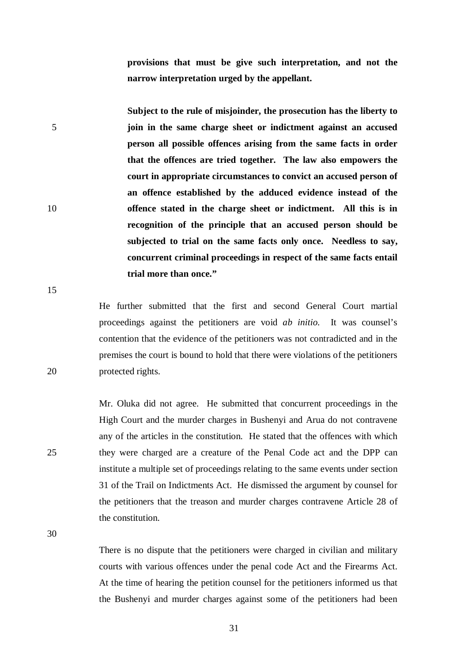**provisions that must be give such interpretation, and not the narrow interpretation urged by the appellant.**

**Subject to the rule of misjoinder, the prosecution has the liberty to**  5 **join in the same charge sheet or indictment against an accused person all possible offences arising from the same facts in order that the offences are tried together. The law also empowers the court in appropriate circumstances to convict an accused person of an offence established by the adduced evidence instead of the**  10 **offence stated in the charge sheet or indictment. All this is in recognition of the principle that an accused person should be subjected to trial on the same facts only once. Needless to say, concurrent criminal proceedings in respect of the same facts entail trial more than once."**

15

He further submitted that the first and second General Court martial proceedings against the petitioners are void *ab initio.* It was counsel's contention that the evidence of the petitioners was not contradicted and in the premises the court is bound to hold that there were violations of the petitioners 20 protected rights.

Mr. Oluka did not agree. He submitted that concurrent proceedings in the High Court and the murder charges in Bushenyi and Arua do not contravene any of the articles in the constitution. He stated that the offences with which 25 they were charged are a creature of the Penal Code act and the DPP can institute a multiple set of proceedings relating to the same events under section 31 of the Trail on Indictments Act. He dismissed the argument by counsel for the petitioners that the treason and murder charges contravene Article 28 of the constitution.

30

There is no dispute that the petitioners were charged in civilian and military courts with various offences under the penal code Act and the Firearms Act. At the time of hearing the petition counsel for the petitioners informed us that the Bushenyi and murder charges against some of the petitioners had been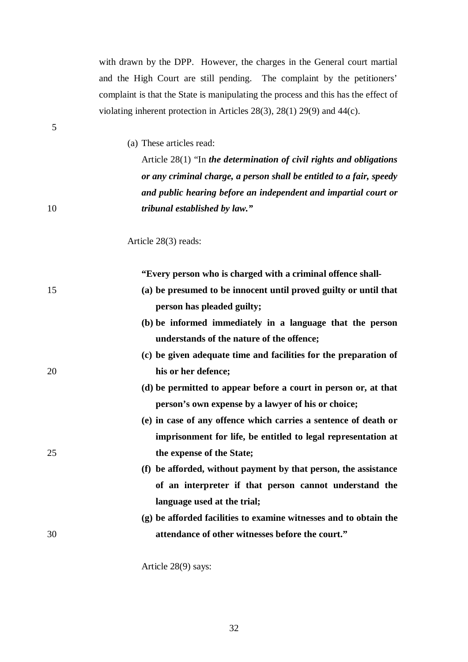with drawn by the DPP. However, the charges in the General court martial and the High Court are still pending. The complaint by the petitioners' complaint is that the State is manipulating the process and this has the effect of violating inherent protection in Articles 28(3), 28(1) 29(9) and 44(c).

(a) These articles read:

5

Article 28(1) "In *the determination of civil rights and obligations or any criminal charge, a person shall be entitled to a fair, speedy and public hearing before an independent and impartial court or*  10 *tribunal established by law."*

Article 28(3) reads:

|    | "Every person who is charged with a criminal offence shall-       |
|----|-------------------------------------------------------------------|
| 15 | (a) be presumed to be innocent until proved guilty or until that  |
|    | person has pleaded guilty;                                        |
|    | (b) be informed immediately in a language that the person         |
|    | understands of the nature of the offence;                         |
|    | (c) be given adequate time and facilities for the preparation of  |
| 20 | his or her defence;                                               |
|    | (d) be permitted to appear before a court in person or, at that   |
|    | person's own expense by a lawyer of his or choice;                |
|    | (e) in case of any offence which carries a sentence of death or   |
|    | imprisonment for life, be entitled to legal representation at     |
| 25 | the expense of the State;                                         |
|    | (f) be afforded, without payment by that person, the assistance   |
|    | of an interpreter if that person cannot understand the            |
|    | language used at the trial;                                       |
|    | (g) be afforded facilities to examine witnesses and to obtain the |
| 30 | attendance of other witnesses before the court."                  |
|    |                                                                   |

Article 28(9) says: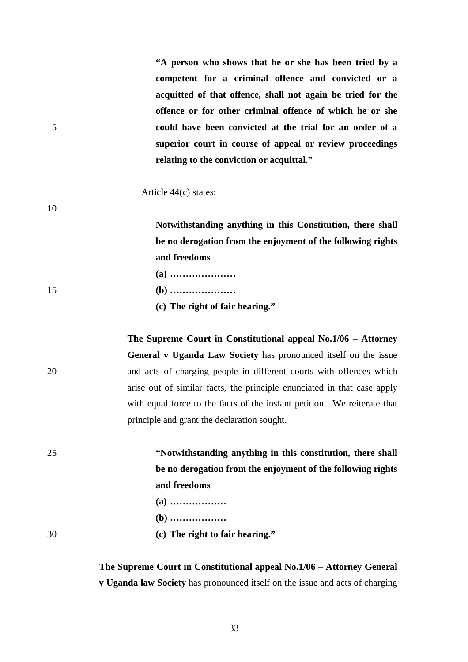**"A person who shows that he or she has been tried by a competent for a criminal offence and convicted or a acquitted of that offence, shall not again be tried for the offence or for other criminal offence of which he or she**  5 **could have been convicted at the trial for an order of a superior court in course of appeal or review proceedings relating to the conviction or acquittal."**

Article 44(c) states:

**(a) …………………**

**Notwithstanding anything in this Constitution, there shall be no derogation from the enjoyment of the following rights and freedoms**

| 15 | ( <b>b</b> )                    |
|----|---------------------------------|
|    | (c) The right of fair hearing." |

10

**The Supreme Court in Constitutional appeal No.1/06 – Attorney General v Uganda Law Society** has pronounced itself on the issue 20 and acts of charging people in different courts with offences which arise out of similar facts, the principle enunciated in that case apply with equal force to the facts of the instant petition. We reiterate that principle and grant the declaration sought.

25 **"Notwithstanding anything in this constitution, there shall be no derogation from the enjoyment of the following rights and freedoms (a) ……………… (b) ………………** 30 **(c) The right to fair hearing."**

> **The Supreme Court in Constitutional appeal No.1/06 – Attorney General v Uganda law Society** has pronounced itself on the issue and acts of charging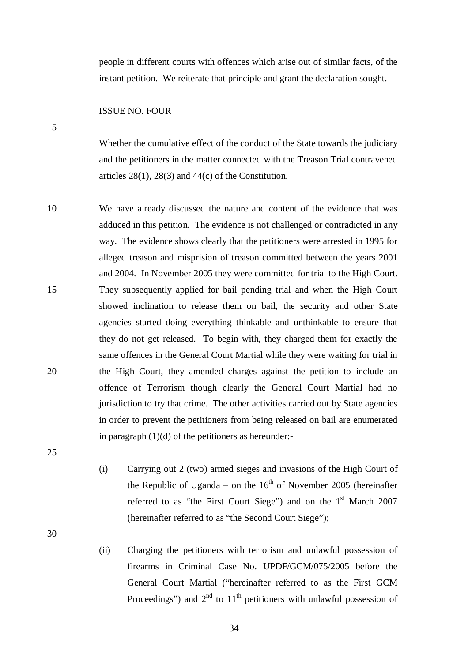people in different courts with offences which arise out of similar facts, of the instant petition. We reiterate that principle and grant the declaration sought.

### ISSUE NO. FOUR

Whether the cumulative effect of the conduct of the State towards the judiciary and the petitioners in the matter connected with the Treason Trial contravened articles  $28(1)$ ,  $28(3)$  and  $44(c)$  of the Constitution.

- 10 We have already discussed the nature and content of the evidence that was adduced in this petition. The evidence is not challenged or contradicted in any way. The evidence shows clearly that the petitioners were arrested in 1995 for alleged treason and misprision of treason committed between the years 2001 and 2004. In November 2005 they were committed for trial to the High Court. 15 They subsequently applied for bail pending trial and when the High Court showed inclination to release them on bail, the security and other State agencies started doing everything thinkable and unthinkable to ensure that they do not get released. To begin with, they charged them for exactly the same offences in the General Court Martial while they were waiting for trial in 20 the High Court, they amended charges against the petition to include an offence of Terrorism though clearly the General Court Martial had no jurisdiction to try that crime. The other activities carried out by State agencies in order to prevent the petitioners from being released on bail are enumerated in paragraph  $(1)(d)$  of the petitioners as hereunder:-
	- (i) Carrying out 2 (two) armed sieges and invasions of the High Court of the Republic of Uganda – on the  $16<sup>th</sup>$  of November 2005 (hereinafter referred to as "the First Court Siege") and on the  $1<sup>st</sup>$  March 2007 (hereinafter referred to as "the Second Court Siege");
- 30

25

5

(ii) Charging the petitioners with terrorism and unlawful possession of firearms in Criminal Case No. UPDF/GCM/075/2005 before the General Court Martial ("hereinafter referred to as the First GCM Proceedings") and  $2<sup>nd</sup>$  to  $11<sup>th</sup>$  petitioners with unlawful possession of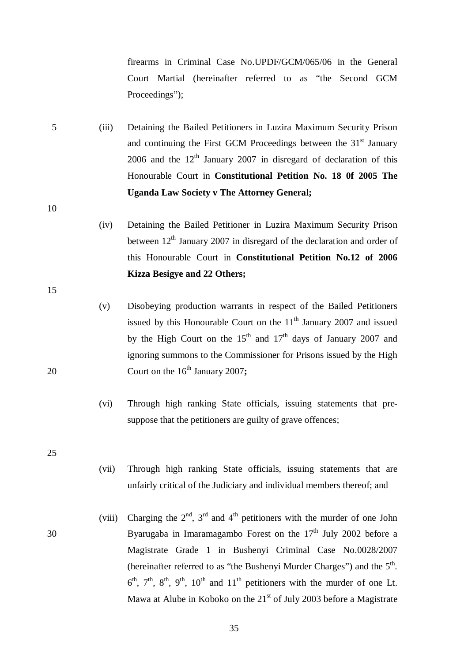firearms in Criminal Case No.UPDF/GCM/065/06 in the General Court Martial (hereinafter referred to as "the Second GCM Proceedings");

5 (iii) Detaining the Bailed Petitioners in Luzira Maximum Security Prison and continuing the First GCM Proceedings between the  $31<sup>st</sup>$  January 2006 and the  $12<sup>th</sup>$  January 2007 in disregard of declaration of this Honourable Court in **Constitutional Petition No. 18 0f 2005 The Uganda Law Society v The Attorney General;**

10

15

- (iv) Detaining the Bailed Petitioner in Luzira Maximum Security Prison between  $12<sup>th</sup>$  January 2007 in disregard of the declaration and order of this Honourable Court in **Constitutional Petition No.12 of 2006 Kizza Besigye and 22 Others;**
- (v) Disobeying production warrants in respect of the Bailed Petitioners issued by this Honourable Court on the  $11<sup>th</sup>$  January 2007 and issued by the High Court on the  $15<sup>th</sup>$  and  $17<sup>th</sup>$  days of January 2007 and ignoring summons to the Commissioner for Prisons issued by the High 20 Court on the 16<sup>th</sup> January 2007;
	- (vi) Through high ranking State officials, issuing statements that presuppose that the petitioners are guilty of grave offences;

25

- (vii) Through high ranking State officials, issuing statements that are unfairly critical of the Judiciary and individual members thereof; and
- 

(viii) Charging the  $2<sup>nd</sup>$ ,  $3<sup>rd</sup>$  and  $4<sup>th</sup>$  petitioners with the murder of one John  $30$  Byarugaba in Imaramagambo Forest on the  $17<sup>th</sup>$  July 2002 before a Magistrate Grade 1 in Bushenyi Criminal Case No.0028/2007 (hereinafter referred to as "the Bushenyi Murder Charges") and the  $5<sup>th</sup>$ .  $6<sup>th</sup>$ ,  $7<sup>th</sup>$ ,  $8<sup>th</sup>$ ,  $9<sup>th</sup>$ ,  $10<sup>th</sup>$  and  $11<sup>th</sup>$  petitioners with the murder of one Lt. Mawa at Alube in Koboko on the  $21<sup>st</sup>$  of July 2003 before a Magistrate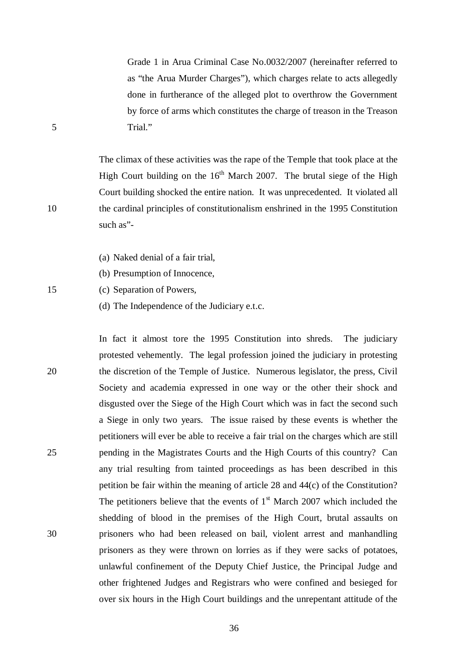Grade 1 in Arua Criminal Case No.0032/2007 (hereinafter referred to as "the Arua Murder Charges"), which charges relate to acts allegedly done in furtherance of the alleged plot to overthrow the Government by force of arms which constitutes the charge of treason in the Treason 5 Trial."

The climax of these activities was the rape of the Temple that took place at the High Court building on the  $16<sup>th</sup>$  March 2007. The brutal siege of the High Court building shocked the entire nation. It was unprecedented. It violated all 10 the cardinal principles of constitutionalism enshrined in the 1995 Constitution such as"-

- (a) Naked denial of a fair trial,
- (b) Presumption of Innocence,

15 (c) Separation of Powers,

(d) The Independence of the Judiciary e.t.c.

In fact it almost tore the 1995 Constitution into shreds. The judiciary protested vehemently. The legal profession joined the judiciary in protesting 20 the discretion of the Temple of Justice. Numerous legislator, the press, Civil Society and academia expressed in one way or the other their shock and disgusted over the Siege of the High Court which was in fact the second such a Siege in only two years. The issue raised by these events is whether the petitioners will ever be able to receive a fair trial on the charges which are still 25 pending in the Magistrates Courts and the High Courts of this country? Can any trial resulting from tainted proceedings as has been described in this petition be fair within the meaning of article 28 and 44(c) of the Constitution? The petitioners believe that the events of  $1<sup>st</sup>$  March 2007 which included the shedding of blood in the premises of the High Court, brutal assaults on 30 prisoners who had been released on bail, violent arrest and manhandling prisoners as they were thrown on lorries as if they were sacks of potatoes, unlawful confinement of the Deputy Chief Justice, the Principal Judge and other frightened Judges and Registrars who were confined and besieged for over six hours in the High Court buildings and the unrepentant attitude of the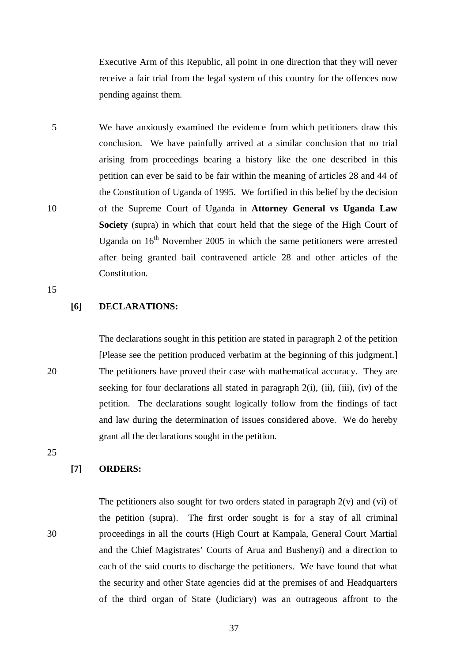Executive Arm of this Republic, all point in one direction that they will never receive a fair trial from the legal system of this country for the offences now pending against them.

5 We have anxiously examined the evidence from which petitioners draw this conclusion. We have painfully arrived at a similar conclusion that no trial arising from proceedings bearing a history like the one described in this petition can ever be said to be fair within the meaning of articles 28 and 44 of the Constitution of Uganda of 1995. We fortified in this belief by the decision 10 of the Supreme Court of Uganda in **Attorney General vs Uganda Law Society** (supra) in which that court held that the siege of the High Court of Uganda on  $16<sup>th</sup>$  November 2005 in which the same petitioners were arrested after being granted bail contravened article 28 and other articles of the Constitution.

15

#### **[6] DECLARATIONS:**

The declarations sought in this petition are stated in paragraph 2 of the petition [Please see the petition produced verbatim at the beginning of this judgment.] 20 The petitioners have proved their case with mathematical accuracy. They are seeking for four declarations all stated in paragraph  $2(i)$ ,  $(ii)$ ,  $(iii)$ ,  $(iv)$  of the petition. The declarations sought logically follow from the findings of fact and law during the determination of issues considered above. We do hereby grant all the declarations sought in the petition.

25

### **[7] ORDERS:**

The petitioners also sought for two orders stated in paragraph  $2(v)$  and  $(vi)$  of the petition (supra). The first order sought is for a stay of all criminal 30 proceedings in all the courts (High Court at Kampala, General Court Martial and the Chief Magistrates' Courts of Arua and Bushenyi) and a direction to each of the said courts to discharge the petitioners. We have found that what the security and other State agencies did at the premises of and Headquarters of the third organ of State (Judiciary) was an outrageous affront to the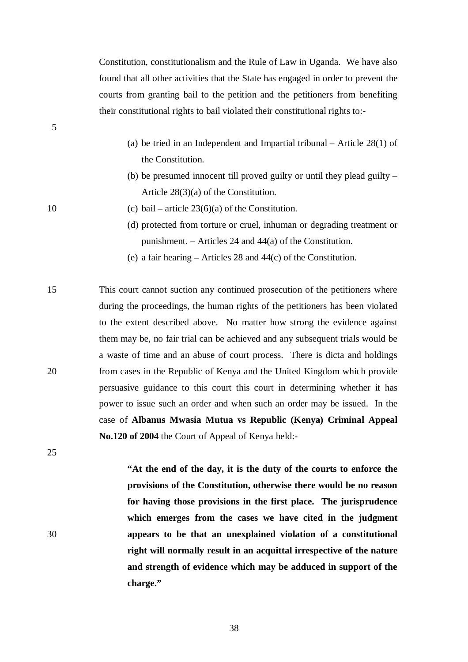Constitution, constitutionalism and the Rule of Law in Uganda. We have also found that all other activities that the State has engaged in order to prevent the courts from granting bail to the petition and the petitioners from benefiting their constitutional rights to bail violated their constitutional rights to:-

- (a) be tried in an Independent and Impartial tribunal Article 28(1) of the Constitution.
- (b) be presumed innocent till proved guilty or until they plead guilty Article 28(3)(a) of the Constitution.
- 10 (c) bail article  $23(6)(a)$  of the Constitution.
	- (d) protected from torture or cruel, inhuman or degrading treatment or punishment. – Articles 24 and 44(a) of the Constitution.
	- (e) a fair hearing Articles 28 and 44(c) of the Constitution.
- 15 This court cannot suction any continued prosecution of the petitioners where during the proceedings, the human rights of the petitioners has been violated to the extent described above. No matter how strong the evidence against them may be, no fair trial can be achieved and any subsequent trials would be a waste of time and an abuse of court process. There is dicta and holdings 20 from cases in the Republic of Kenya and the United Kingdom which provide persuasive guidance to this court this court in determining whether it has power to issue such an order and when such an order may be issued. In the case of **Albanus Mwasia Mutua vs Republic (Kenya) Criminal Appeal No.120 of 2004** the Court of Appeal of Kenya held:-

**"At the end of the day, it is the duty of the courts to enforce the provisions of the Constitution, otherwise there would be no reason for having those provisions in the first place. The jurisprudence which emerges from the cases we have cited in the judgment**  30 **appears to be that an unexplained violation of a constitutional right will normally result in an acquittal irrespective of the nature and strength of evidence which may be adduced in support of the charge."**

5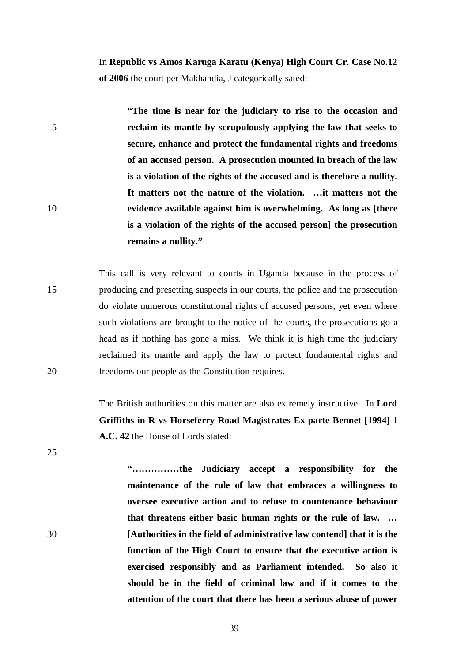In **Republic vs Amos Karuga Karatu (Kenya) High Court Cr. Case No.12 of 2006** the court per Makhandia, J categorically sated:

**"The time is near for the judiciary to rise to the occasion and**  5 **reclaim its mantle by scrupulously applying the law that seeks to secure, enhance and protect the fundamental rights and freedoms of an accused person. A prosecution mounted in breach of the law is a violation of the rights of the accused and is therefore a nullity. It matters not the nature of the violation. …it matters not the**  10 **evidence available against him is overwhelming. As long as [there is a violation of the rights of the accused person] the prosecution remains a nullity."**

This call is very relevant to courts in Uganda because in the process of 15 producing and presetting suspects in our courts, the police and the prosecution do violate numerous constitutional rights of accused persons, yet even where such violations are brought to the notice of the courts, the prosecutions go a head as if nothing has gone a miss. We think it is high time the judiciary reclaimed its mantle and apply the law to protect fundamental rights and 20 freedoms our people as the Constitution requires.

> The British authorities on this matter are also extremely instructive. In **Lord Griffiths in R vs Horseferry Road Magistrates Ex parte Bennet [1994] 1 A.C. 42** the House of Lords stated:

**"……………the Judiciary accept a responsibility for the maintenance of the rule of law that embraces a willingness to oversee executive action and to refuse to countenance behaviour that threatens either basic human rights or the rule of law. …** 30 **[Authorities in the field of administrative law contend] that it is the function of the High Court to ensure that the executive action is exercised responsibly and as Parliament intended. So also it should be in the field of criminal law and if it comes to the attention of the court that there has been a serious abuse of power** 

39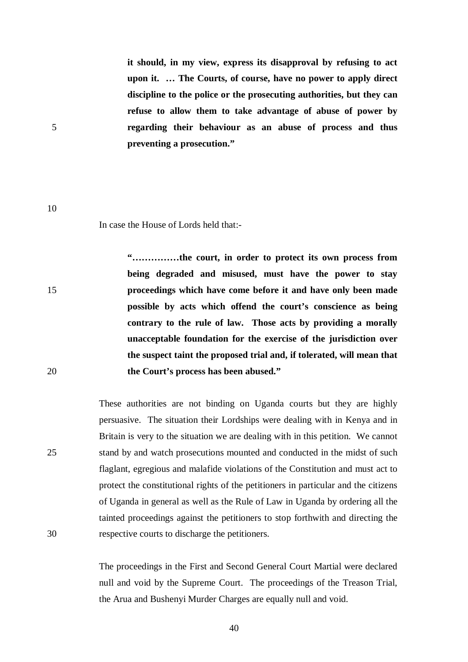**it should, in my view, express its disapproval by refusing to act upon it. … The Courts, of course, have no power to apply direct discipline to the police or the prosecuting authorities, but they can refuse to allow them to take advantage of abuse of power by**  5 **regarding their behaviour as an abuse of process and thus preventing a prosecution."**

In case the House of Lords held that:-

**"……………the court, in order to protect its own process from being degraded and misused, must have the power to stay**  15 **proceedings which have come before it and have only been made possible by acts which offend the court's conscience as being contrary to the rule of law. Those acts by providing a morally unacceptable foundation for the exercise of the jurisdiction over the suspect taint the proposed trial and, if tolerated, will mean that**  20 **the Court's process has been abused."**

These authorities are not binding on Uganda courts but they are highly persuasive. The situation their Lordships were dealing with in Kenya and in Britain is very to the situation we are dealing with in this petition. We cannot 25 stand by and watch prosecutions mounted and conducted in the midst of such flaglant, egregious and malafide violations of the Constitution and must act to protect the constitutional rights of the petitioners in particular and the citizens of Uganda in general as well as the Rule of Law in Uganda by ordering all the tainted proceedings against the petitioners to stop forthwith and directing the 30 respective courts to discharge the petitioners.

> The proceedings in the First and Second General Court Martial were declared null and void by the Supreme Court. The proceedings of the Treason Trial, the Arua and Bushenyi Murder Charges are equally null and void.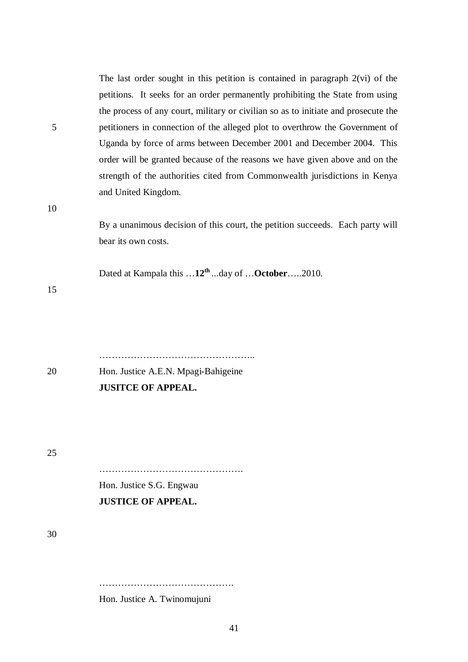The last order sought in this petition is contained in paragraph  $2(vi)$  of the petitions. It seeks for an order permanently prohibiting the State from using the process of any court, military or civilian so as to initiate and prosecute the 5 petitioners in connection of the alleged plot to overthrow the Government of Uganda by force of arms between December 2001 and December 2004. This order will be granted because of the reasons we have given above and on the strength of the authorities cited from Commonwealth jurisdictions in Kenya and United Kingdom.

10

By a unanimous decision of this court, the petition succeeds. Each party will bear its own costs.

Dated at Kampala this …**12th** ...day of …**October**…..2010.

15

…………………………………………..

20 Hon. Justice A.E.N. Mpagi-Bahigeine **JUSITCE OF APPEAL.**

25

………………………………………………………

Hon. Justice S.G. Engwau **JUSTICE OF APPEAL.**

30

…………………………………….

Hon. Justice A. Twinomujuni